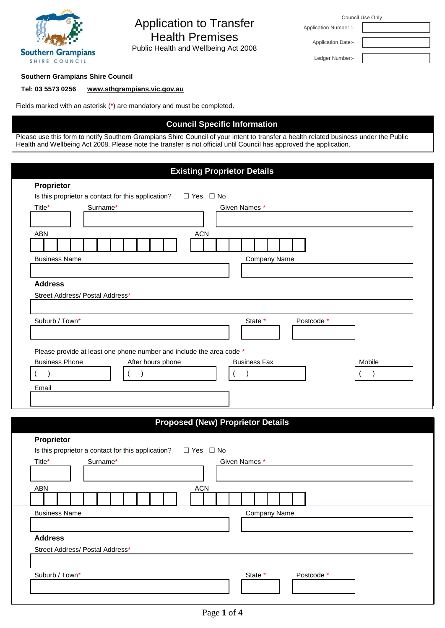

# Application to Transfer Health Premises

Public Health and Wellbeing Act 2008

Council Use Only

Application Date:- Ledger Number:-

Application Number :-

#### **Southern Grampians Shire Council**

#### **Tel: 03 5573 0256 [www.sthgrampians.vic.gov.au](http://www.sthgrampians.vic.gov.au/)**

Fields marked with an asterisk (\*) are mandatory and must be completed.

## **Council Specific Information**

Please use this form to notify Southern Grampians Shire Council of your intent to transfer a health related business under the Public Health and Wellbeing Act 2008. Please note the transfer is not official until Council has approved the application.

|                |                       |                                 |          |                                                                      |  |                   |  |                      |  | <b>Existing Proprietor Details</b>       |                     |  |  |            |  |        |  |
|----------------|-----------------------|---------------------------------|----------|----------------------------------------------------------------------|--|-------------------|--|----------------------|--|------------------------------------------|---------------------|--|--|------------|--|--------|--|
|                | Proprietor            |                                 |          |                                                                      |  |                   |  |                      |  |                                          |                     |  |  |            |  |        |  |
|                |                       |                                 |          | Is this proprietor a contact for this application?                   |  |                   |  | $\Box$ Yes $\Box$ No |  |                                          |                     |  |  |            |  |        |  |
| Title*         |                       |                                 | Surname* |                                                                      |  |                   |  |                      |  | Given Names *                            |                     |  |  |            |  |        |  |
|                |                       |                                 |          |                                                                      |  |                   |  |                      |  |                                          |                     |  |  |            |  |        |  |
| <b>ABN</b>     |                       |                                 |          |                                                                      |  |                   |  | <b>ACN</b>           |  |                                          |                     |  |  |            |  |        |  |
|                |                       |                                 |          |                                                                      |  |                   |  |                      |  |                                          |                     |  |  |            |  |        |  |
|                | <b>Business Name</b>  |                                 |          |                                                                      |  |                   |  |                      |  |                                          | <b>Company Name</b> |  |  |            |  |        |  |
|                |                       |                                 |          |                                                                      |  |                   |  |                      |  |                                          |                     |  |  |            |  |        |  |
| <b>Address</b> |                       |                                 |          |                                                                      |  |                   |  |                      |  |                                          |                     |  |  |            |  |        |  |
|                |                       | Street Address/ Postal Address* |          |                                                                      |  |                   |  |                      |  |                                          |                     |  |  |            |  |        |  |
|                |                       |                                 |          |                                                                      |  |                   |  |                      |  |                                          |                     |  |  |            |  |        |  |
|                | Suburb / Town*        |                                 |          |                                                                      |  |                   |  |                      |  |                                          | State *             |  |  | Postcode * |  |        |  |
|                |                       |                                 |          |                                                                      |  |                   |  |                      |  |                                          |                     |  |  |            |  |        |  |
|                |                       |                                 |          |                                                                      |  |                   |  |                      |  |                                          |                     |  |  |            |  |        |  |
|                |                       |                                 |          | Please provide at least one phone number and include the area code * |  |                   |  |                      |  |                                          |                     |  |  |            |  |        |  |
|                | <b>Business Phone</b> |                                 |          |                                                                      |  | After hours phone |  |                      |  | <b>Business Fax</b>                      |                     |  |  |            |  | Mobile |  |
|                |                       |                                 |          |                                                                      |  |                   |  |                      |  |                                          |                     |  |  |            |  |        |  |
|                |                       |                                 |          |                                                                      |  |                   |  |                      |  |                                          |                     |  |  |            |  |        |  |
|                |                       |                                 |          |                                                                      |  |                   |  |                      |  |                                          |                     |  |  |            |  |        |  |
| Email          |                       |                                 |          |                                                                      |  |                   |  |                      |  |                                          |                     |  |  |            |  |        |  |
|                |                       |                                 |          |                                                                      |  |                   |  |                      |  |                                          |                     |  |  |            |  |        |  |
|                |                       |                                 |          |                                                                      |  |                   |  |                      |  | <b>Proposed (New) Proprietor Details</b> |                     |  |  |            |  |        |  |
|                | Proprietor            |                                 |          |                                                                      |  |                   |  |                      |  |                                          |                     |  |  |            |  |        |  |
|                |                       |                                 |          | Is this proprietor a contact for this application?                   |  |                   |  | $\Box$ Yes $\Box$ No |  |                                          |                     |  |  |            |  |        |  |
| Title*         |                       |                                 | Surname* |                                                                      |  |                   |  |                      |  | Given Names *                            |                     |  |  |            |  |        |  |
|                |                       |                                 |          |                                                                      |  |                   |  |                      |  |                                          |                     |  |  |            |  |        |  |
| <b>ABN</b>     |                       |                                 |          |                                                                      |  |                   |  | <b>ACN</b>           |  |                                          |                     |  |  |            |  |        |  |
|                |                       |                                 |          |                                                                      |  |                   |  |                      |  |                                          |                     |  |  |            |  |        |  |
|                |                       |                                 |          |                                                                      |  |                   |  |                      |  |                                          |                     |  |  |            |  |        |  |
|                | <b>Business Name</b>  |                                 |          |                                                                      |  |                   |  |                      |  |                                          | Company Name        |  |  |            |  |        |  |
|                |                       |                                 |          |                                                                      |  |                   |  |                      |  |                                          |                     |  |  |            |  |        |  |
| <b>Address</b> |                       |                                 |          |                                                                      |  |                   |  |                      |  |                                          |                     |  |  |            |  |        |  |
|                |                       | Street Address/ Postal Address* |          |                                                                      |  |                   |  |                      |  |                                          |                     |  |  |            |  |        |  |
|                |                       |                                 |          |                                                                      |  |                   |  |                      |  |                                          |                     |  |  |            |  |        |  |
|                | Suburb / Town*        |                                 |          |                                                                      |  |                   |  |                      |  |                                          | State *             |  |  | Postcode * |  |        |  |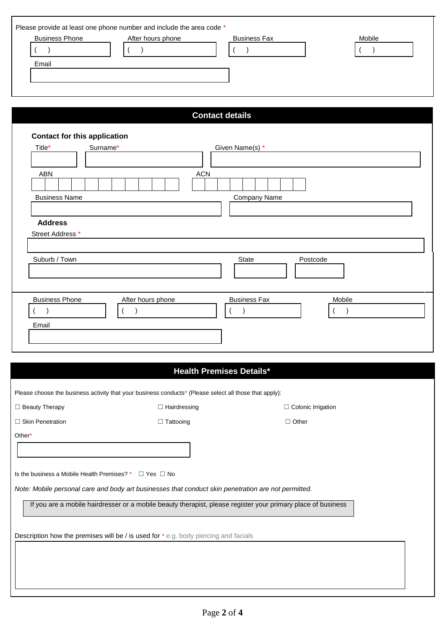| <b>Contact details</b><br><b>Contact for this application</b><br>Surname*<br>Title*<br>Given Name(s) *<br><b>ACN</b><br><b>ABN</b><br><b>Business Name</b><br><b>Company Name</b><br><b>Address</b><br>Street Address *<br>Suburb / Town<br>State<br>Postcode | Mobile |
|---------------------------------------------------------------------------------------------------------------------------------------------------------------------------------------------------------------------------------------------------------------|--------|
|                                                                                                                                                                                                                                                               |        |
|                                                                                                                                                                                                                                                               |        |
|                                                                                                                                                                                                                                                               |        |
|                                                                                                                                                                                                                                                               |        |
|                                                                                                                                                                                                                                                               |        |
|                                                                                                                                                                                                                                                               |        |
| <b>Business Phone</b><br>After hours phone<br><b>Business Fax</b><br>Mobile<br>$\mathcal{E}$<br>$\overline{ }$<br>$\lambda$<br>Email                                                                                                                          |        |

# **Health Premises Details\***

|                                                                    | Please choose the business activity that your business conducts* (Please select all those that apply):       |                           |  |
|--------------------------------------------------------------------|--------------------------------------------------------------------------------------------------------------|---------------------------|--|
| $\Box$ Beauty Therapy                                              | $\Box$ Hairdressing                                                                                          | $\Box$ Colonic Irrigation |  |
| $\Box$ Skin Penetration                                            | $\Box$ Tattooing                                                                                             | $\Box$ Other              |  |
| Other*                                                             |                                                                                                              |                           |  |
| Is the business a Mobile Health Premises? $*$ $\Box$ Yes $\Box$ No | Note: Mobile personal care and body art businesses that conduct skin penetration are not permitted.          |                           |  |
|                                                                    | If you are a mobile hairdresser or a mobile beauty therapist, please register your primary place of business |                           |  |
|                                                                    | <b>Description how the premises will be</b> / is used for * e.g. body piercing and facials                   |                           |  |
|                                                                    |                                                                                                              |                           |  |
|                                                                    |                                                                                                              |                           |  |
|                                                                    |                                                                                                              |                           |  |
|                                                                    |                                                                                                              |                           |  |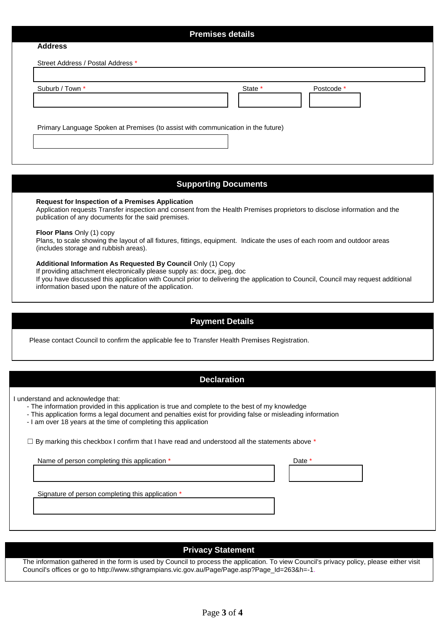# **Premises details Address**  Street Address / Postal Address \* Suburb / Town \* The state \* State \* The State \* State \* Postcode \* Primary Language Spoken at Premises (to assist with communication in the future)

# **Supporting Documents**

**Request for Inspection of a Premises Application**

Application requests Transfer inspection and consent from the Health Premises proprietors to disclose information and the publication of any documents for the said premises.

**Floor Plans** Only (1) copy

Plans, to scale showing the layout of all fixtures, fittings, equipment. Indicate the uses of each room and outdoor areas (includes storage and rubbish areas).

#### **Additional Information As Requested By Council** Only (1) Copy

If providing attachment electronically please supply as: docx, jpeg, doc

If you have discussed this application with Council prior to delivering the application to Council, Council may request additional information based upon the nature of the application.

# **Payment Details**

Please contact Council to confirm the applicable fee to Transfer Health Prem**i**ses Registration.

## **Declaration**

I understand and acknowledge that:

- The information provided in this application is true and complete to the best of my knowledge
- This application forms a legal document and penalties exist for providing false or misleading information
- I am over 18 years at the time of completing this application

 $\Box$  By marking this checkbox I confirm that I have read and understood all the statements above  $^*$ 

Name of person completing this application \* The method of person completing this application \*

Signature of person completing this application \*

# **Privacy Statement**

The information gathered in the form is used by Council to process the application. To view Council's privacy policy, please either visit Council's offices or go to http://www.sthgrampians.vic.gov.au/Page/Page.asp?Page\_Id=263&h=-1.